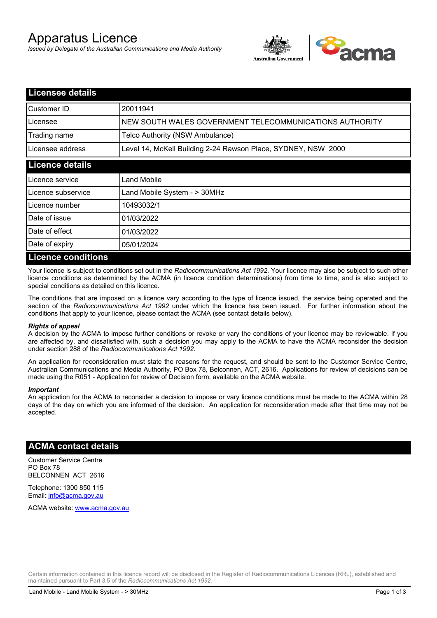# Apparatus Licence

*Issued by Delegate of the Australian Communications and Media Authority*



| <b>Licensee details</b>   |                                                               |
|---------------------------|---------------------------------------------------------------|
| Customer ID               | 20011941                                                      |
| Licensee                  | NEW SOUTH WALES GOVERNMENT TELECOMMUNICATIONS AUTHORITY       |
| Trading name              | Telco Authority (NSW Ambulance)                               |
| Licensee address          | Level 14, McKell Building 2-24 Rawson Place, SYDNEY, NSW 2000 |
| <b>Licence details</b>    |                                                               |
| Licence service           | Land Mobile                                                   |
| Licence subservice        | Land Mobile System - > 30MHz                                  |
| Licence number            | 10493032/1                                                    |
| Date of issue             | 01/03/2022                                                    |
| Date of effect            | 01/03/2022                                                    |
| Date of expiry            | 05/01/2024                                                    |
| <b>Licence conditions</b> |                                                               |

Your licence is subject to conditions set out in the *Radiocommunications Act 1992*. Your licence may also be subject to such other licence conditions as determined by the ACMA (in licence condition determinations) from time to time, and is also subject to special conditions as detailed on this licence.

The conditions that are imposed on a licence vary according to the type of licence issued, the service being operated and the section of the *Radiocommunications Act 1992* under which the licence has been issued. For further information about the conditions that apply to your licence, please contact the ACMA (see contact details below).

#### *Rights of appeal*

A decision by the ACMA to impose further conditions or revoke or vary the conditions of your licence may be reviewable. If you are affected by, and dissatisfied with, such a decision you may apply to the ACMA to have the ACMA reconsider the decision under section 288 of the *Radiocommunications Act 1992*.

An application for reconsideration must state the reasons for the request, and should be sent to the Customer Service Centre, Australian Communications and Media Authority, PO Box 78, Belconnen, ACT, 2616. Applications for review of decisions can be made using the R051 - Application for review of Decision form, available on the ACMA website.

#### *Important*

An application for the ACMA to reconsider a decision to impose or vary licence conditions must be made to the ACMA within 28 days of the day on which you are informed of the decision. An application for reconsideration made after that time may not be accepted.

### **ACMA contact details**

Customer Service Centre PO Box 78 BELCONNEN ACT 2616

Telephone: 1300 850 115 Email: info@acma.gov.au

ACMA website: www.acma.gov.au

Certain information contained in this licence record will be disclosed in the Register of Radiocommunications Licences (RRL), established and maintained pursuant to Part 3.5 of the *Radiocommunications Act 1992.*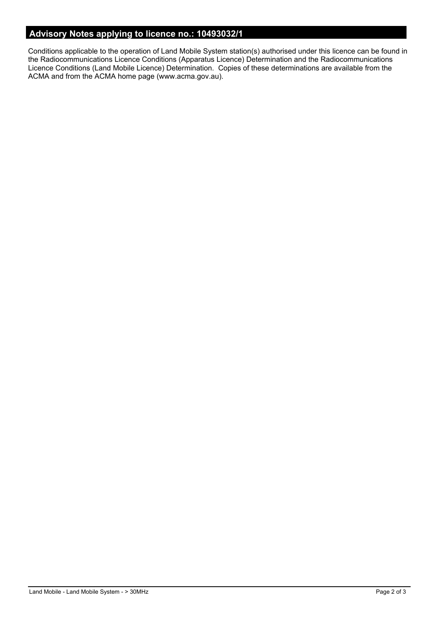# **Advisory Notes applying to licence no.: 10493032/1**

Conditions applicable to the operation of Land Mobile System station(s) authorised under this licence can be found in the Radiocommunications Licence Conditions (Apparatus Licence) Determination and the Radiocommunications Licence Conditions (Land Mobile Licence) Determination. Copies of these determinations are available from the ACMA and from the ACMA home page (www.acma.gov.au).